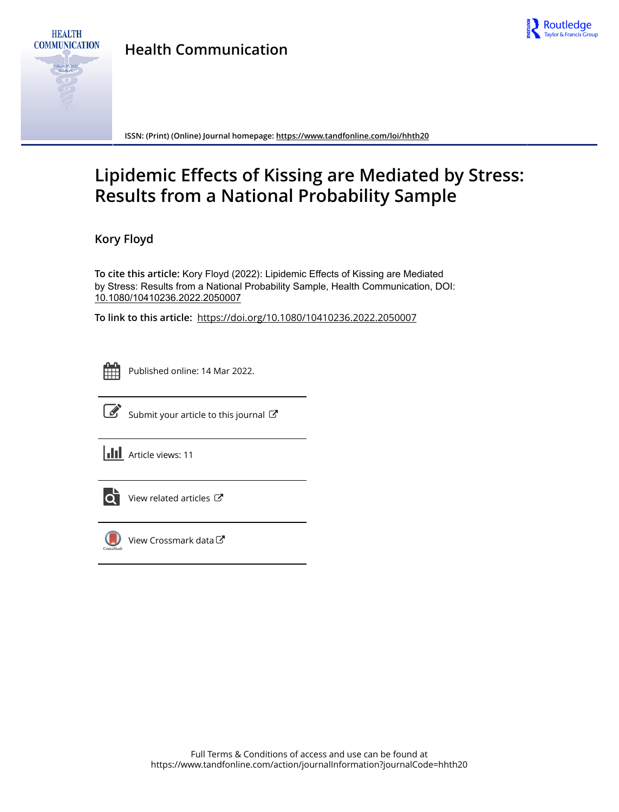

**Health Communication**



**HEALTH** 

**ISSN: (Print) (Online) Journal homepage:<https://www.tandfonline.com/loi/hhth20>**

# **Lipidemic Effects of Kissing are Mediated by Stress: Results from a National Probability Sample**

**Kory Floyd**

**To cite this article:** Kory Floyd (2022): Lipidemic Effects of Kissing are Mediated by Stress: Results from a National Probability Sample, Health Communication, DOI: [10.1080/10410236.2022.2050007](https://www.tandfonline.com/action/showCitFormats?doi=10.1080/10410236.2022.2050007)

**To link to this article:** <https://doi.org/10.1080/10410236.2022.2050007>



Published online: 14 Mar 2022.



 $\overrightarrow{S}$  [Submit your article to this journal](https://www.tandfonline.com/action/authorSubmission?journalCode=hhth20&show=instructions)  $\overrightarrow{S}$ 

**III** Article views: 11



[View related articles](https://www.tandfonline.com/doi/mlt/10.1080/10410236.2022.2050007)  $\mathbb{Z}$ 



[View Crossmark data](http://crossmark.crossref.org/dialog/?doi=10.1080/10410236.2022.2050007&domain=pdf&date_stamp=2022-03-14)<sup>で</sup>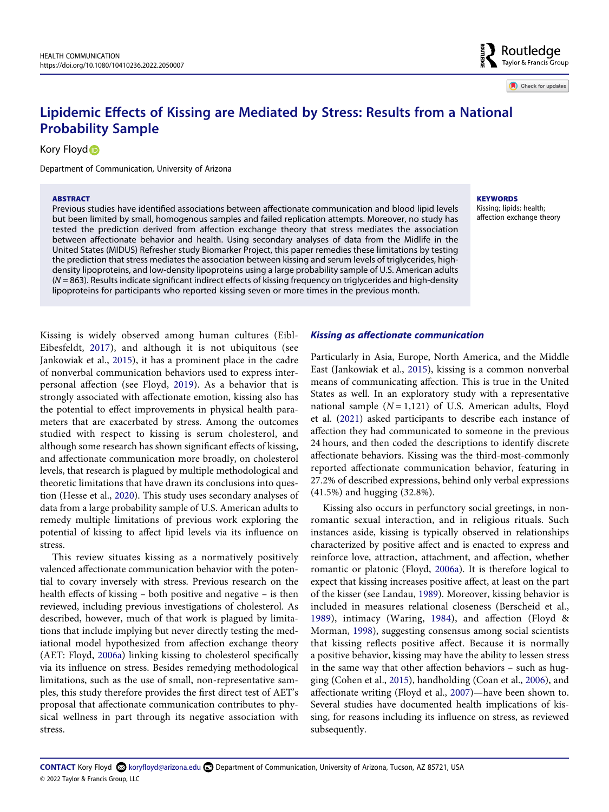# **Lipidemic Effects of Kissing are Mediated by Stress: Results from a National Probability Sample**

Kory Floy[d](http://orcid.org/0000-0002-0664-0418)<sub>®</sub>

Department of Communication, University of Arizona

#### **ABSTRACT**

Previous studies have identified associations between affectionate communication and blood lipid levels but been limited by small, homogenous samples and failed replication attempts. Moreover, no study has tested the prediction derived from affection exchange theory that stress mediates the association between affectionate behavior and health. Using secondary analyses of data from the Midlife in the United States (MIDUS) Refresher study Biomarker Project, this paper remedies these limitations by testing the prediction that stress mediates the association between kissing and serum levels of triglycerides, highdensity lipoproteins, and low-density lipoproteins using a large probability sample of U.S. American adults (*N* = 863). Results indicate significant indirect effects of kissing frequency on triglycerides and high-density lipoproteins for participants who reported kissing seven or more times in the previous month.

<span id="page-1-4"></span><span id="page-1-2"></span>Kissing is widely observed among human cultures (Eibl-Eibesfeldt, [2017](#page-8-0)), and although it is not ubiquitous (see Jankowiak et al., [2015\)](#page-9-0), it has a prominent place in the cadre of nonverbal communication behaviors used to express interpersonal affection (see Floyd, [2019\)](#page-8-1). As a behavior that is strongly associated with affectionate emotion, kissing also has the potential to effect improvements in physical health parameters that are exacerbated by stress. Among the outcomes studied with respect to kissing is serum cholesterol, and although some research has shown significant effects of kissing, and affectionate communication more broadly, on cholesterol levels, that research is plagued by multiple methodological and theoretic limitations that have drawn its conclusions into question (Hesse et al., [2020\)](#page-9-1). This study uses secondary analyses of data from a large probability sample of U.S. American adults to remedy multiple limitations of previous work exploring the potential of kissing to affect lipid levels via its influence on stress.

<span id="page-1-8"></span>This review situates kissing as a normatively positively valenced affectionate communication behavior with the potential to covary inversely with stress. Previous research on the health effects of kissing – both positive and negative – is then reviewed, including previous investigations of cholesterol. As described, however, much of that work is plagued by limitations that include implying but never directly testing the mediational model hypothesized from affection exchange theory (AET: Floyd, [2006a\)](#page-8-2) linking kissing to cholesterol specifically via its influence on stress. Besides remedying methodological limitations, such as the use of small, non-representative samples, this study therefore provides the first direct test of AET's proposal that affectionate communication contributes to physical wellness in part through its negative association with stress.

#### *Kissing as affectionate communication*

<span id="page-1-9"></span><span id="page-1-7"></span>Particularly in Asia, Europe, North America, and the Middle East (Jankowiak et al., [2015\)](#page-9-0), kissing is a common nonverbal means of communicating affection. This is true in the United States as well. In an exploratory study with a representative national sample  $(N = 1,121)$  of U.S. American adults, Floyd et al. [\(2021\)](#page-9-2) asked participants to describe each instance of affection they had communicated to someone in the previous 24 hours, and then coded the descriptions to identify discrete affectionate behaviors. Kissing was the third-most-commonly reported affectionate communication behavior, featuring in 27.2% of described expressions, behind only verbal expressions (41.5%) and hugging (32.8%).

<span id="page-1-11"></span><span id="page-1-10"></span><span id="page-1-6"></span><span id="page-1-5"></span><span id="page-1-3"></span><span id="page-1-1"></span><span id="page-1-0"></span>Kissing also occurs in perfunctory social greetings, in nonromantic sexual interaction, and in religious rituals. Such instances aside, kissing is typically observed in relationships characterized by positive affect and is enacted to express and reinforce love, attraction, attachment, and affection, whether romantic or platonic (Floyd, [2006a\)](#page-8-2). It is therefore logical to expect that kissing increases positive affect, at least on the part of the kisser (see Landau, [1989](#page-9-3)). Moreover, kissing behavior is included in measures relational closeness (Berscheid et al., [1989\)](#page-8-3), intimacy (Waring, [1984](#page-9-4)), and affection (Floyd & Morman, [1998](#page-9-5)), suggesting consensus among social scientists that kissing reflects positive affect. Because it is normally a positive behavior, kissing may have the ability to lessen stress in the same way that other affection behaviors – such as hugging (Cohen et al., [2015\)](#page-8-4), handholding (Coan et al., [2006\)](#page-8-5), and affectionate writing (Floyd et al., [2007](#page-8-6))—have been shown to. Several studies have documented health implications of kissing, for reasons including its influence on stress, as reviewed subsequently.

#### **KEYWORDS**

Kissing; lipids; health; affection exchange theory

Check for updates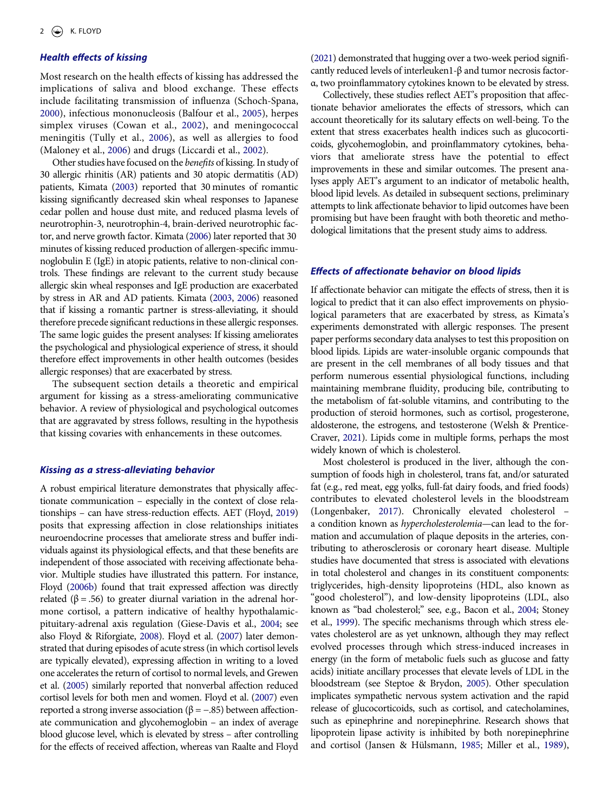# *Health effects of kissing*

<span id="page-2-12"></span><span id="page-2-1"></span>Most research on the health effects of kissing has addressed the implications of saliva and blood exchange. These effects include facilitating transmission of influenza (Schoch-Spana, [2000](#page-9-6)), infectious mononucleosis (Balfour et al., [2005](#page-8-7)), herpes simplex viruses (Cowan et al., [2002](#page-8-8)), and meningococcal meningitis (Tully et al., [2006\)](#page-9-7), as well as allergies to food (Maloney et al., [2006](#page-9-8)) and drugs (Liccardi et al., [2002](#page-9-9)).

<span id="page-2-15"></span><span id="page-2-10"></span><span id="page-2-2"></span>Other studies have focused on the *benefits* of kissing. In study of 30 allergic rhinitis (AR) patients and 30 atopic dermatitis (AD) patients, Kimata [\(2003](#page-9-10)) reported that 30 minutes of romantic kissing significantly decreased skin wheal responses to Japanese cedar pollen and house dust mite, and reduced plasma levels of neurotrophin-3, neurotrophin-4, brain-derived neurotrophic factor, and nerve growth factor. Kimata [\(2006\)](#page-9-11) later reported that 30 minutes of kissing reduced production of allergen-specific immunoglobulin E (IgE) in atopic patients, relative to non-clinical controls. These findings are relevant to the current study because allergic skin wheal responses and IgE production are exacerbated by stress in AR and AD patients. Kimata ([2003](#page-9-10), [2006\)](#page-9-11) reasoned that if kissing a romantic partner is stress-alleviating, it should therefore precede significant reductions in these allergic responses. The same logic guides the present analyses: If kissing ameliorates the psychological and physiological experience of stress, it should therefore effect improvements in other health outcomes (besides allergic responses) that are exacerbated by stress.

<span id="page-2-9"></span>The subsequent section details a theoretic and empirical argument for kissing as a stress-ameliorating communicative behavior. A review of physiological and psychological outcomes that are aggravated by stress follows, resulting in the hypothesis that kissing covaries with enhancements in these outcomes.

# *Kissing as a stress-alleviating behavior*

<span id="page-2-7"></span><span id="page-2-6"></span><span id="page-2-5"></span><span id="page-2-4"></span><span id="page-2-3"></span>A robust empirical literature demonstrates that physically affectionate communication – especially in the context of close relationships – can have stress-reduction effects. AET (Floyd, [2019\)](#page-8-1) posits that expressing affection in close relationships initiates neuroendocrine processes that ameliorate stress and buffer individuals against its physiological effects, and that these benefits are independent of those associated with receiving affectionate behavior. Multiple studies have illustrated this pattern. For instance, Floyd [\(2006b\)](#page-8-9) found that trait expressed affection was directly related ( $\beta$  = .56) to greater diurnal variation in the adrenal hormone cortisol, a pattern indicative of healthy hypothalamicpituitary-adrenal axis regulation (Giese-Davis et al., [2004;](#page-9-12) see also Floyd & Riforgiate, [2008\)](#page-9-13). Floyd et al. ([2007](#page-8-6)) later demonstrated that during episodes of acute stress (in which cortisol levels are typically elevated), expressing affection in writing to a loved one accelerates the return of cortisol to normal levels, and Grewen et al. ([2005](#page-9-14)) similarly reported that nonverbal affection reduced cortisol levels for both men and women. Floyd et al. ([2007\)](#page-8-10) even reported a strong inverse association ( $β = -.85$ ) between affectionate communication and glycohemoglobin – an index of average blood glucose level, which is elevated by stress – after controlling for the effects of received affection, whereas van Raalte and Floyd <span id="page-2-16"></span>[\(2021\)](#page-9-15) demonstrated that hugging over a two-week period significantly reduced levels of interleuken1-β and tumor necrosis factorα, two proinflammatory cytokines known to be elevated by stress.

Collectively, these studies reflect AET's proposition that affectionate behavior ameliorates the effects of stressors, which can account theoretically for its salutary effects on well-being. To the extent that stress exacerbates health indices such as glucocorticoids, glycohemoglobin, and proinflammatory cytokines, behaviors that ameliorate stress have the potential to effect improvements in these and similar outcomes. The present analyses apply AET's argument to an indicator of metabolic health, blood lipid levels. As detailed in subsequent sections, preliminary attempts to link affectionate behavior to lipid outcomes have been promising but have been fraught with both theoretic and methodological limitations that the present study aims to address.

#### *Effects of affectionate behavior on blood lipids*

If affectionate behavior can mitigate the effects of stress, then it is logical to predict that it can also effect improvements on physiological parameters that are exacerbated by stress, as Kimata's experiments demonstrated with allergic responses. The present paper performs secondary data analyses to test this proposition on blood lipids. Lipids are water-insoluble organic compounds that are present in the cell membranes of all body tissues and that perform numerous essential physiological functions, including maintaining membrane fluidity, producing bile, contributing to the metabolism of fat-soluble vitamins, and contributing to the production of steroid hormones, such as cortisol, progesterone, aldosterone, the estrogens, and testosterone (Welsh & Prentice-Craver, [2021\)](#page-9-16). Lipids come in multiple forms, perhaps the most widely known of which is cholesterol.

<span id="page-2-17"></span><span id="page-2-14"></span><span id="page-2-13"></span><span id="page-2-11"></span><span id="page-2-8"></span><span id="page-2-0"></span>Most cholesterol is produced in the liver, although the consumption of foods high in cholesterol, trans fat, and/or saturated fat (e.g., red meat, egg yolks, full-fat dairy foods, and fried foods) contributes to elevated cholesterol levels in the bloodstream (Longenbaker, [2017](#page-9-17)). Chronically elevated cholesterol – a condition known as *hypercholesterolemia*—can lead to the formation and accumulation of plaque deposits in the arteries, contributing to atherosclerosis or coronary heart disease. Multiple studies have documented that stress is associated with elevations in total cholesterol and changes in its constituent components: triglycerides, high-density lipoproteins (HDL, also known as "good cholesterol"), and low-density lipoproteins (LDL, also known as "bad cholesterol;" see, e.g., Bacon et al., [2004](#page-8-11); Stoney et al., [1999\)](#page-9-18). The specific mechanisms through which stress elevates cholesterol are as yet unknown, although they may reflect evolved processes through which stress-induced increases in energy (in the form of metabolic fuels such as glucose and fatty acids) initiate ancillary processes that elevate levels of LDL in the bloodstream (see Steptoe & Brydon, [2005\)](#page-9-19). Other speculation implicates sympathetic nervous system activation and the rapid release of glucocorticoids, such as cortisol, and catecholamines, such as epinephrine and norepinephrine. Research shows that lipoprotein lipase activity is inhibited by both norepinephrine and cortisol (Jansen & Hülsmann, [1985;](#page-9-20) Miller et al., [1989](#page-9-21)),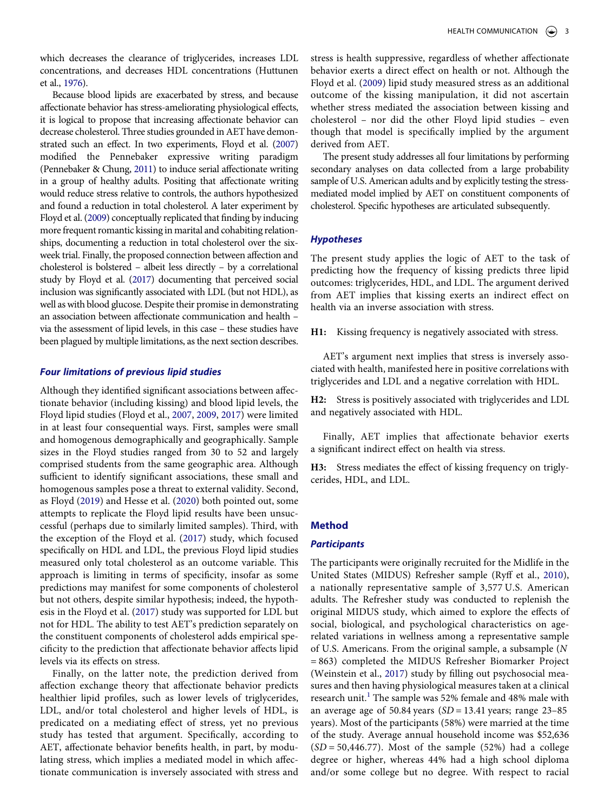<span id="page-3-4"></span><span id="page-3-3"></span>Because blood lipids are exacerbated by stress, and because affectionate behavior has stress-ameliorating physiological effects, it is logical to propose that increasing affectionate behavior can decrease cholesterol. Three studies grounded in AET have demonstrated such an effect. In two experiments, Floyd et al. [\(2007\)](#page-8-12) modified the Pennebaker expressive writing paradigm (Pennebaker & Chung, [2011](#page-9-23)) to induce serial affectionate writing in a group of healthy adults. Positing that affectionate writing would reduce stress relative to controls, the authors hypothesized and found a reduction in total cholesterol. A later experiment by Floyd et al. [\(2009\)](#page-8-13) conceptually replicated that finding by inducing more frequent romantic kissing in marital and cohabiting relationships, documenting a reduction in total cholesterol over the sixweek trial. Finally, the proposed connection between affection and cholesterol is bolstered – albeit less directly – by a correlational study by Floyd et al. [\(2017](#page-9-24)) documenting that perceived social inclusion was significantly associated with LDL (but not HDL), as well as with blood glucose. Despite their promise in demonstrating an association between affectionate communication and health – via the assessment of lipid levels, in this case – these studies have been plagued by multiple limitations, as the next section describes.

# *Four limitations of previous lipid studies*

<span id="page-3-1"></span>Although they identified significant associations between affectionate behavior (including kissing) and blood lipid levels, the Floyd lipid studies (Floyd et al., [2007](#page-8-12), [2009,](#page-8-13) [2017\)](#page-9-24) were limited in at least four consequential ways. First, samples were small and homogenous demographically and geographically. Sample sizes in the Floyd studies ranged from 30 to 52 and largely comprised students from the same geographic area. Although sufficient to identify significant associations, these small and homogenous samples pose a threat to external validity. Second, as Floyd [\(2019](#page-8-1)) and Hesse et al. ([2020](#page-9-1)) both pointed out, some attempts to replicate the Floyd lipid results have been unsuccessful (perhaps due to similarly limited samples). Third, with the exception of the Floyd et al. [\(2017\)](#page-9-24) study, which focused specifically on HDL and LDL, the previous Floyd lipid studies measured only total cholesterol as an outcome variable. This approach is limiting in terms of specificity, insofar as some predictions may manifest for some components of cholesterol but not others, despite similar hypothesis; indeed, the hypothesis in the Floyd et al. [\(2017](#page-9-24)) study was supported for LDL but not for HDL. The ability to test AET's prediction separately on the constituent components of cholesterol adds empirical specificity to the prediction that affectionate behavior affects lipid levels via its effects on stress.

<span id="page-3-2"></span>Finally, on the latter note, the prediction derived from affection exchange theory that affectionate behavior predicts healthier lipid profiles, such as lower levels of triglycerides, LDL, and/or total cholesterol and higher levels of HDL, is predicated on a mediating effect of stress, yet no previous study has tested that argument. Specifically, according to AET, affectionate behavior benefits health, in part, by modulating stress, which implies a mediated model in which affectionate communication is inversely associated with stress and

<span id="page-3-0"></span>stress is health suppressive, regardless of whether affectionate behavior exerts a direct effect on health or not. Although the Floyd et al. ([2009\)](#page-8-13) lipid study measured stress as an additional outcome of the kissing manipulation, it did not ascertain whether stress mediated the association between kissing and cholesterol – nor did the other Floyd lipid studies – even though that model is specifically implied by the argument derived from AET.

The present study addresses all four limitations by performing secondary analyses on data collected from a large probability sample of U.S. American adults and by explicitly testing the stressmediated model implied by AET on constituent components of cholesterol. Specific hypotheses are articulated subsequently.

# *Hypotheses*

The present study applies the logic of AET to the task of predicting how the frequency of kissing predicts three lipid outcomes: triglycerides, HDL, and LDL. The argument derived from AET implies that kissing exerts an indirect effect on health via an inverse association with stress.

**H1:** Kissing frequency is negatively associated with stress.

AET's argument next implies that stress is inversely associated with health, manifested here in positive correlations with triglycerides and LDL and a negative correlation with HDL.

**H2:** Stress is positively associated with triglycerides and LDL and negatively associated with HDL.

Finally, AET implies that affectionate behavior exerts a significant indirect effect on health via stress.

**H3:** Stress mediates the effect of kissing frequency on triglycerides, HDL, and LDL.

# **Method**

#### *Participants*

<span id="page-3-6"></span><span id="page-3-5"></span>The participants were originally recruited for the Midlife in the United States (MIDUS) Refresher sample (Ryff et al., [2010](#page-9-25)), a nationally representative sample of 3,577 U.S. American adults. The Refresher study was conducted to replenish the original MIDUS study, which aimed to explore the effects of social, biological, and psychological characteristics on agerelated variations in wellness among a representative sample of U.S. Americans. From the original sample, a subsample (*N*  = 863) completed the MIDUS Refresher Biomarker Project (Weinstein et al., [2017](#page-9-26)) study by filling out psychosocial measures and then having physiological measures taken at a clinical research unit.<sup>[1](#page-8-14)</sup> The sample was 52% female and 48% male with an average age of 50.84 years (*SD* = 13.41 years; range 23–85 years). Most of the participants (58%) were married at the time of the study. Average annual household income was \$52,636 (*SD* = 50,446.77). Most of the sample (52%) had a college degree or higher, whereas 44% had a high school diploma and/or some college but no degree. With respect to racial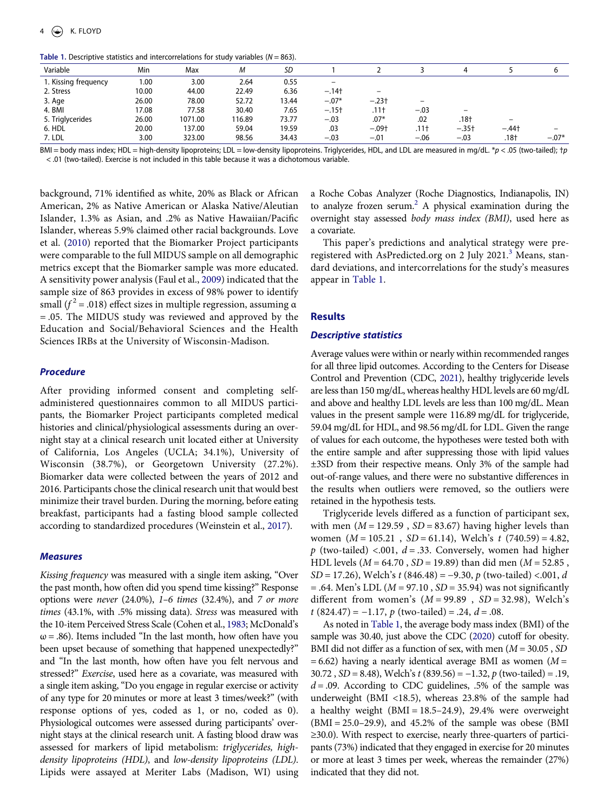<span id="page-4-0"></span>Table 1. Descriptive statistics and intercorrelations for study variables (*N* = 863).

| Variable             | Min   | Max     | М      | SD    |                          |                  |                  |         |         |         |
|----------------------|-------|---------|--------|-------|--------------------------|------------------|------------------|---------|---------|---------|
| 1. Kissing frequency | 1.00  | 3.00    | 2.64   | 0.55  | $\overline{\phantom{m}}$ |                  |                  |         |         |         |
| 2. Stress            | 10.00 | 44.00   | 22.49  | 6.36  | $-.14+$                  |                  |                  |         |         |         |
| 3. Age               | 26.00 | 78.00   | 52.72  | 13.44 | $-.07*$                  | $-.23†$          |                  |         |         |         |
| 4. BMI               | 17.08 | 77.58   | 30.40  | 7.65  | $-.15+$                  | .11 <sup>†</sup> | $-.03$           | -       |         |         |
| 5. Triglycerides     | 26.00 | 1071.00 | 116.89 | 73.77 | $-.03$                   | $.07*$           | .02              | .18†    |         |         |
| 6. HDL               | 20.00 | 137.00  | 59.04  | 19.59 | .03                      | $-.09+$          | .11 <sup>†</sup> | $-.35+$ | $-.44†$ |         |
| 7. LDL               | 3.00  | 323.00  | 98.56  | 34.43 | $-.03$                   | $-.01$           | $-.06$           | $-.03$  | .18†    | $-.07*$ |

BMI = body mass index; HDL = high-density lipoproteins; LDL = low-density lipoproteins. Triglycerides, HDL, and LDL are measured in mg/dL. \**p* < .05 (two-tailed); †*p*  < .01 (two-tailed). Exercise is not included in this table because it was a dichotomous variable.

<span id="page-4-5"></span><span id="page-4-4"></span>background, 71% identified as white, 20% as Black or African American, 2% as Native American or Alaska Native/Aleutian Islander, 1.3% as Asian, and .2% as Native Hawaiian/Pacific Islander, whereas 5.9% claimed other racial backgrounds. Love et al. ([2010\)](#page-9-27) reported that the Biomarker Project participants were comparable to the full MIDUS sample on all demographic metrics except that the Biomarker sample was more educated. A sensitivity power analysis (Faul et al., [2009\)](#page-8-15) indicated that the sample size of 863 provides in excess of 98% power to identify small ( $f<sup>2</sup>$  = .018) effect sizes in multiple regression, assuming α = .05. The MIDUS study was reviewed and approved by the Education and Social/Behavioral Sciences and the Health Sciences IRBs at the University of Wisconsin-Madison.

# *Procedure*

After providing informed consent and completing selfadministered questionnaires common to all MIDUS participants, the Biomarker Project participants completed medical histories and clinical/physiological assessments during an overnight stay at a clinical research unit located either at University of California, Los Angeles (UCLA; 34.1%), University of Wisconsin (38.7%), or Georgetown University (27.2%). Biomarker data were collected between the years of 2012 and 2016. Participants chose the clinical research unit that would best minimize their travel burden. During the morning, before eating breakfast, participants had a fasting blood sample collected according to standardized procedures (Weinstein et al., [2017\)](#page-9-26).

#### *Measures*

<span id="page-4-3"></span>*Kissing frequency* was measured with a single item asking, "Over the past month, how often did you spend time kissing?" Response options were *never* (24.0%), *1–6 times* (32.4%), and *7 or more times* (43.1%, with .5% missing data). *Stress* was measured with the 10-item Perceived Stress Scale (Cohen et al., [1983;](#page-8-16) McDonald's  $\omega$  = .86). Items included "In the last month, how often have you been upset because of something that happened unexpectedly?" and "In the last month, how often have you felt nervous and stressed?" *Exercise*, used here as a covariate, was measured with a single item asking, "Do you engage in regular exercise or activity of any type for 20 minutes or more at least 3 times/week?" (with response options of yes, coded as 1, or no, coded as 0). Physiological outcomes were assessed during participants' overnight stays at the clinical research unit. A fasting blood draw was assessed for markers of lipid metabolism: *triglycerides, highdensity lipoproteins (HDL)*, and *low-density lipoproteins (LDL)*. Lipids were assayed at Meriter Labs (Madison, WI) using a Roche Cobas Analyzer (Roche Diagnostics, Indianapolis, IN) to analyze frozen serum.<sup>2</sup> A physical examination during the overnight stay assessed *body mass index (BMI)*, used here as a covariate.

This paper's predictions and analytical strategy were preregistered with AsPredicted.org on 2 July 2021.<sup>3</sup> Means, standard deviations, and intercorrelations for the study's measures appear in [Table 1.](#page-4-0)

## **Results**

#### *Descriptive statistics*

<span id="page-4-2"></span>Average values were within or nearly within recommended ranges for all three lipid outcomes. According to the Centers for Disease Control and Prevention (CDC, [2021](#page-8-19)), healthy triglyceride levels are less than 150 mg/dL, whereas healthy HDL levels are 60 mg/dL and above and healthy LDL levels are less than 100 mg/dL. Mean values in the present sample were 116.89 mg/dL for triglyceride, 59.04 mg/dL for HDL, and 98.56 mg/dL for LDL. Given the range of values for each outcome, the hypotheses were tested both with the entire sample and after suppressing those with lipid values ±3SD from their respective means. Only 3% of the sample had out-of-range values, and there were no substantive differences in the results when outliers were removed, so the outliers were retained in the hypothesis tests.

Triglyceride levels differed as a function of participant sex, with men  $(M = 129.59, SD = 83.67)$  having higher levels than women (*M* = 105.21 , *SD* = 61.14), Welch's *t* (740.59) = 4.82,  $p$  (two-tailed) <.001,  $d = .33$ . Conversely, women had higher HDL levels (*M* = 64.70 , *SD* = 19.89) than did men (*M* = 52.85 , *SD* = 17.26), Welch's *t* (846.48) = −9.30, *p* (two-tailed) <.001, *d*  = .64. Men's LDL (*M* = 97.10 , *SD* = 35.94) was not significantly different from women's (*M* = 99.89 , *SD* = 32.98), Welch's *t* (824.47) = −1.17, *p* (two-tailed) = .24, *d* = .08.

<span id="page-4-1"></span>As noted in [Table 1](#page-4-0), the average body mass index (BMI) of the sample was 30.40, just above the CDC [\(2020](#page-8-20)) cutoff for obesity. BMI did not differ as a function of sex, with men (*M* = 30.05 , *SD*   $= 6.62$ ) having a nearly identical average BMI as women ( $M =$ 30.72 , *SD* = 8.48), Welch's *t* (839.56) = −1.32, *p* (two-tailed) = .19,  $d = 0.09$ . According to CDC guidelines, .5% of the sample was underweight (BMI <18.5), whereas 23.8% of the sample had a healthy weight (BMI = 18.5–24.9), 29.4% were overweight  $(BMI = 25.0-29.9)$ , and 45.2% of the sample was obese (BMI ≥30.0). With respect to exercise, nearly three-quarters of participants (73%) indicated that they engaged in exercise for 20 minutes or more at least 3 times per week, whereas the remainder (27%) indicated that they did not.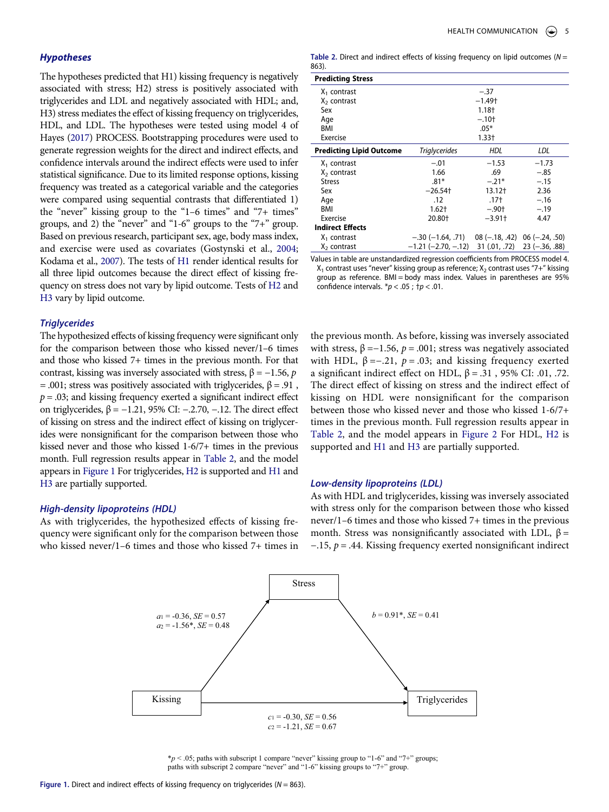# *Hypotheses*

<span id="page-5-3"></span>The hypotheses predicted that H1) kissing frequency is negatively associated with stress; H2) stress is positively associated with triglycerides and LDL and negatively associated with HDL; and, H3) stress mediates the effect of kissing frequency on triglycerides, HDL, and LDL. The hypotheses were tested using model 4 of Hayes ([2017](#page-9-28)) PROCESS. Bootstrapping procedures were used to generate regression weights for the direct and indirect effects, and confidence intervals around the indirect effects were used to infer statistical significance. Due to its limited response options, kissing frequency was treated as a categorical variable and the categories were compared using sequential contrasts that differentiated 1) the "never" kissing group to the "1–6 times" and "7+ times" groups, and 2) the "never" and "1-6" groups to the "7+" group. Based on previous research, participant sex, age, body mass index, and exercise were used as covariates (Gostynski et al., [2004;](#page-9-29) Kodama et al., [2007\)](#page-9-30). The tests of H1 render identical results for all three lipid outcomes because the direct effect of kissing frequency on stress does not vary by lipid outcome. Tests of H2 and H3 vary by lipid outcome.

#### <span id="page-5-4"></span><span id="page-5-2"></span>*Triglycerides*

The hypothesized effects of kissing frequency were significant only for the comparison between those who kissed never/1–6 times and those who kissed 7+ times in the previous month. For that contrast, kissing was inversely associated with stress, β = −1.56, *p*  = .001; stress was positively associated with triglycerides,  $β = .91$ ,  $p = 0.03$ ; and kissing frequency exerted a significant indirect effect on triglycerides,  $β = −1.21$ , 95% CI:  $-0.270$ ,  $-0.12$ . The direct effect of kissing on stress and the indirect effect of kissing on triglycerides were nonsignificant for the comparison between those who kissed never and those who kissed 1-6/7+ times in the previous month. Full regression results appear in [Table 2](#page-5-0), and the model appears in [Figure 1](#page-5-1) For triglycerides, H2 is supported and H1 and H3 are partially supported.

#### *High-density lipoproteins (HDL)*

<span id="page-5-1"></span>As with triglycerides, the hypothesized effects of kissing frequency were significant only for the comparison between those who kissed never/1–6 times and those who kissed 7+ times in

<span id="page-5-0"></span>

| <b>Table 2.</b> Direct and indirect effects of kissing frequency on lipid outcomes ( $N =$ |  |  |
|--------------------------------------------------------------------------------------------|--|--|
| 863).                                                                                      |  |  |

| <b>Predicting Stress</b>        |                                                          |                      |                                 |  |
|---------------------------------|----------------------------------------------------------|----------------------|---------------------------------|--|
| $X_1$ contrast                  |                                                          | $-.37$               |                                 |  |
| $X2$ contrast                   |                                                          | $-1.49+$             |                                 |  |
| Sex                             |                                                          | $1.18+$              |                                 |  |
| Age                             | $-.10+$                                                  |                      |                                 |  |
| BMI                             | $.05*$                                                   |                      |                                 |  |
| Exercise                        |                                                          | $1.33+$              |                                 |  |
| <b>Predicting Lipid Outcome</b> | <b>Triglycerides</b>                                     | <b>HDL</b>           | LDL                             |  |
| $X_1$ contrast                  | $-.01$                                                   | $-1.53$              | $-1.73$                         |  |
| X <sub>2</sub> contrast         | 1.66                                                     | .69                  | $-.85$                          |  |
| <b>Stress</b>                   | $.81*$                                                   | $-.21*$              | $-.15$                          |  |
| Sex                             | $-26.54$ t                                               | 13.12†               | 2.36                            |  |
| Age                             | .12                                                      | .17†                 | $-.16$                          |  |
| BMI                             | $1.62+$                                                  | $-.90+$              | $-.19$                          |  |
| Exercise                        | 20.80+                                                   | $-3.91$ <sup>+</sup> | 4.47                            |  |
| <b>Indirect Effects</b>         |                                                          |                      |                                 |  |
| $X_1$ contrast                  | $-.30(-1.64, .71)$ 08 ( $-.18, .42$ ) 06 ( $-.24, .50$ ) |                      |                                 |  |
| $X2$ contrast                   | $-1.21$ (-2.70, -.12)                                    |                      | $31(.01, .72)$ $23 (-.36, .88)$ |  |

Values in table are unstandardized regression coefficients from PROCESS model 4.  $X_1$  contrast uses "never" kissing group as reference;  $X_2$  contrast uses "7+" kissing group as reference. BMI = body mass index. Values in parentheses are 95% confidence intervals. \**p* < .05 ; †*p* < .01.

the previous month. As before, kissing was inversely associated with stress,  $\beta = -1.56$ ,  $p = .001$ ; stress was negatively associated with HDL,  $β = -.21$ ,  $p = .03$ ; and kissing frequency exerted a significant indirect effect on HDL,  $β = .31$ , 95% CI: .01, .72. The direct effect of kissing on stress and the indirect effect of kissing on HDL were nonsignificant for the comparison between those who kissed never and those who kissed 1-6/7+ times in the previous month. Full regression results appear in [Table 2,](#page-5-0) and the model appears in [Figure 2](#page-6-0) For HDL, H2 is supported and H1 and H3 are partially supported.

#### *Low-density lipoproteins (LDL)*

As with HDL and triglycerides, kissing was inversely associated with stress only for the comparison between those who kissed never/1–6 times and those who kissed 7+ times in the previous month. Stress was nonsignificantly associated with LDL,  $\beta$  = −.15, *p* = .44. Kissing frequency exerted nonsignificant indirect



 $*p < .05$ ; paths with subscript 1 compare "never" kissing group to "1-6" and "7+" groups; paths with subscript 2 compare "never" and "1-6" kissing groups to "7+" group.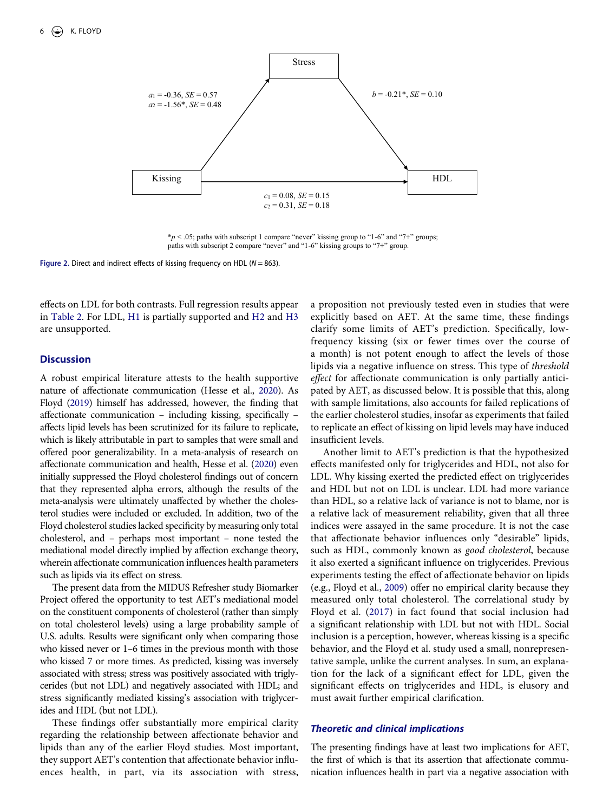<span id="page-6-0"></span>

\**p* < .05; paths with subscript 1 compare "never" kissing group to "1-6" and "7+" groups; paths with subscript 2 compare "never" and "1-6" kissing groups to "7+" group.

**Figure 2.** Direct and indirect effects of kissing frequency on HDL (*N* = 863).

effects on LDL for both contrasts. Full regression results appear in [Table 2.](#page-5-0) For LDL, H1 is partially supported and H2 and H3 are unsupported.

#### **Discussion**

A robust empirical literature attests to the health supportive nature of affectionate communication (Hesse et al., [2020\)](#page-9-1). As Floyd [\(2019\)](#page-8-1) himself has addressed, however, the finding that affectionate communication – including kissing, specifically – affects lipid levels has been scrutinized for its failure to replicate, which is likely attributable in part to samples that were small and offered poor generalizability. In a meta-analysis of research on affectionate communication and health, Hesse et al. [\(2020\)](#page-9-1) even initially suppressed the Floyd cholesterol findings out of concern that they represented alpha errors, although the results of the meta-analysis were ultimately unaffected by whether the cholesterol studies were included or excluded. In addition, two of the Floyd cholesterol studies lacked specificity by measuring only total cholesterol, and – perhaps most important – none tested the mediational model directly implied by affection exchange theory, wherein affectionate communication influences health parameters such as lipids via its effect on stress.

The present data from the MIDUS Refresher study Biomarker Project offered the opportunity to test AET's mediational model on the constituent components of cholesterol (rather than simply on total cholesterol levels) using a large probability sample of U.S. adults. Results were significant only when comparing those who kissed never or 1–6 times in the previous month with those who kissed 7 or more times. As predicted, kissing was inversely associated with stress; stress was positively associated with triglycerides (but not LDL) and negatively associated with HDL; and stress significantly mediated kissing's association with triglycerides and HDL (but not LDL).

These findings offer substantially more empirical clarity regarding the relationship between affectionate behavior and lipids than any of the earlier Floyd studies. Most important, they support AET's contention that affectionate behavior influences health, in part, via its association with stress, a proposition not previously tested even in studies that were explicitly based on AET. At the same time, these findings clarify some limits of AET's prediction. Specifically, lowfrequency kissing (six or fewer times over the course of a month) is not potent enough to affect the levels of those lipids via a negative influence on stress. This type of *threshold effect* for affectionate communication is only partially anticipated by AET, as discussed below. It is possible that this, along with sample limitations, also accounts for failed replications of the earlier cholesterol studies, insofar as experiments that failed to replicate an effect of kissing on lipid levels may have induced insufficient levels.

Another limit to AET's prediction is that the hypothesized effects manifested only for triglycerides and HDL, not also for LDL. Why kissing exerted the predicted effect on triglycerides and HDL but not on LDL is unclear. LDL had more variance than HDL, so a relative lack of variance is not to blame, nor is a relative lack of measurement reliability, given that all three indices were assayed in the same procedure. It is not the case that affectionate behavior influences only "desirable" lipids, such as HDL, commonly known as *good cholesterol*, because it also exerted a significant influence on triglycerides. Previous experiments testing the effect of affectionate behavior on lipids (e.g., Floyd et al., [2009](#page-8-13)) offer no empirical clarity because they measured only total cholesterol. The correlational study by Floyd et al. ([2017\)](#page-9-24) in fact found that social inclusion had a significant relationship with LDL but not with HDL. Social inclusion is a perception, however, whereas kissing is a specific behavior, and the Floyd et al. study used a small, nonrepresentative sample, unlike the current analyses. In sum, an explanation for the lack of a significant effect for LDL, given the significant effects on triglycerides and HDL, is elusory and must await further empirical clarification.

# *Theoretic and clinical implications*

The presenting findings have at least two implications for AET, the first of which is that its assertion that affectionate communication influences health in part via a negative association with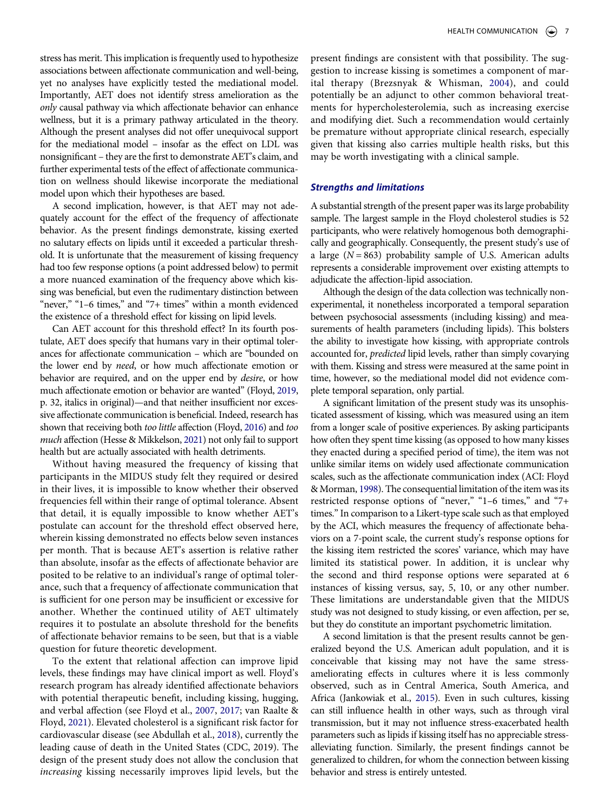stress has merit. This implication is frequently used to hypothesize associations between affectionate communication and well-being, yet no analyses have explicitly tested the mediational model. Importantly, AET does not identify stress amelioration as the *only* causal pathway via which affectionate behavior can enhance wellness, but it is a primary pathway articulated in the theory. Although the present analyses did not offer unequivocal support for the mediational model – insofar as the effect on LDL was nonsignificant – they are the first to demonstrate AET's claim, and further experimental tests of the effect of affectionate communication on wellness should likewise incorporate the mediational model upon which their hypotheses are based.

A second implication, however, is that AET may not adequately account for the effect of the frequency of affectionate behavior. As the present findings demonstrate, kissing exerted no salutary effects on lipids until it exceeded a particular threshold. It is unfortunate that the measurement of kissing frequency had too few response options (a point addressed below) to permit a more nuanced examination of the frequency above which kissing was beneficial, but even the rudimentary distinction between "never," "1–6 times," and "7+ times" within a month evidenced the existence of a threshold effect for kissing on lipid levels.

Can AET account for this threshold effect? In its fourth postulate, AET does specify that humans vary in their optimal tolerances for affectionate communication – which are "bounded on the lower end by *need*, or how much affectionate emotion or behavior are required, and on the upper end by *desire*, or how much affectionate emotion or behavior are wanted" (Floyd, [2019,](#page-8-1) p. 32, italics in original)—and that neither insufficient nor excessive affectionate communication is beneficial. Indeed, research has shown that receiving both *too little* affection (Floyd, [2016\)](#page-8-21) and *too much* affection (Hesse & Mikkelson, [2021\)](#page-9-31) not only fail to support health but are actually associated with health detriments.

<span id="page-7-3"></span><span id="page-7-2"></span>Without having measured the frequency of kissing that participants in the MIDUS study felt they required or desired in their lives, it is impossible to know whether their observed frequencies fell within their range of optimal tolerance. Absent that detail, it is equally impossible to know whether AET's postulate can account for the threshold effect observed here, wherein kissing demonstrated no effects below seven instances per month. That is because AET's assertion is relative rather than absolute, insofar as the effects of affectionate behavior are posited to be relative to an individual's range of optimal tolerance, such that a frequency of affectionate communication that is sufficient for one person may be insufficient or excessive for another. Whether the continued utility of AET ultimately requires it to postulate an absolute threshold for the benefits of affectionate behavior remains to be seen, but that is a viable question for future theoretic development.

<span id="page-7-0"></span>To the extent that relational affection can improve lipid levels, these findings may have clinical import as well. Floyd's research program has already identified affectionate behaviors with potential therapeutic benefit, including kissing, hugging, and verbal affection (see Floyd et al., [2007,](#page-8-12) [2017;](#page-9-24) van Raalte & Floyd, [2021\)](#page-9-15). Elevated cholesterol is a significant risk factor for cardiovascular disease (see Abdullah et al., [2018\)](#page-8-22), currently the leading cause of death in the United States (CDC, 2019). The design of the present study does not allow the conclusion that *increasing* kissing necessarily improves lipid levels, but the

<span id="page-7-1"></span>present findings are consistent with that possibility. The suggestion to increase kissing is sometimes a component of marital therapy (Brezsnyak & Whisman, [2004](#page-8-23)), and could potentially be an adjunct to other common behavioral treatments for hypercholesterolemia, such as increasing exercise and modifying diet. Such a recommendation would certainly be premature without appropriate clinical research, especially given that kissing also carries multiple health risks, but this may be worth investigating with a clinical sample.

#### *Strengths and limitations*

A substantial strength of the present paper was its large probability sample. The largest sample in the Floyd cholesterol studies is 52 participants, who were relatively homogenous both demographically and geographically. Consequently, the present study's use of a large  $(N = 863)$  probability sample of U.S. American adults represents a considerable improvement over existing attempts to adjudicate the affection-lipid association.

Although the design of the data collection was technically nonexperimental, it nonetheless incorporated a temporal separation between psychosocial assessments (including kissing) and measurements of health parameters (including lipids). This bolsters the ability to investigate how kissing, with appropriate controls accounted for, *predicted* lipid levels, rather than simply covarying with them. Kissing and stress were measured at the same point in time, however, so the mediational model did not evidence complete temporal separation, only partial.

A significant limitation of the present study was its unsophisticated assessment of kissing, which was measured using an item from a longer scale of positive experiences. By asking participants how often they spent time kissing (as opposed to how many kisses they enacted during a specified period of time), the item was not unlike similar items on widely used affectionate communication scales, such as the affectionate communication index (ACI: Floyd & Morman, [1998\)](#page-9-5). The consequential limitation of the item was its restricted response options of "never," "1–6 times," and "7+ times." In comparison to a Likert-type scale such as that employed by the ACI, which measures the frequency of affectionate behaviors on a 7-point scale, the current study's response options for the kissing item restricted the scores' variance, which may have limited its statistical power. In addition, it is unclear why the second and third response options were separated at 6 instances of kissing versus, say, 5, 10, or any other number. These limitations are understandable given that the MIDUS study was not designed to study kissing, or even affection, per se, but they do constitute an important psychometric limitation.

A second limitation is that the present results cannot be generalized beyond the U.S. American adult population, and it is conceivable that kissing may not have the same stressameliorating effects in cultures where it is less commonly observed, such as in Central America, South America, and Africa (Jankowiak et al., [2015\)](#page-9-0). Even in such cultures, kissing can still influence health in other ways, such as through viral transmission, but it may not influence stress-exacerbated health parameters such as lipids if kissing itself has no appreciable stressalleviating function. Similarly, the present findings cannot be generalized to children, for whom the connection between kissing behavior and stress is entirely untested.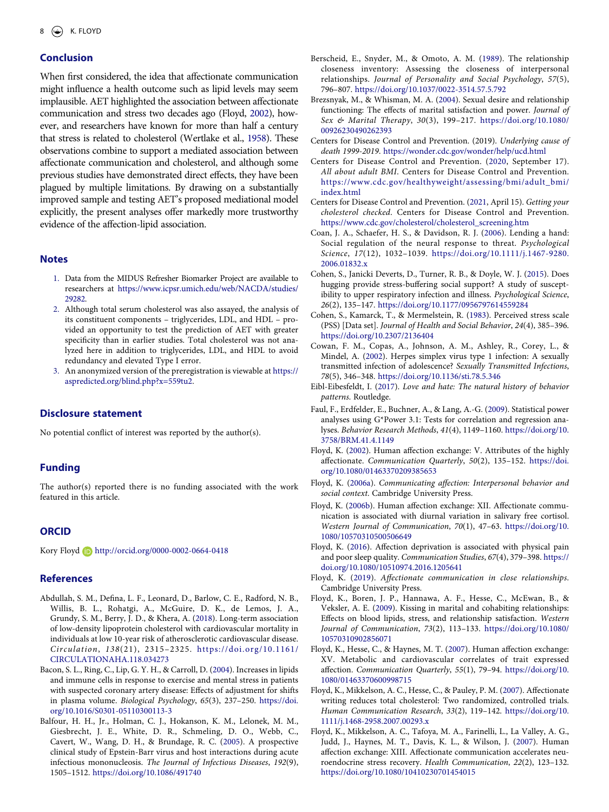# **Conclusion**

<span id="page-8-26"></span><span id="page-8-25"></span>When first considered, the idea that affectionate communication might influence a health outcome such as lipid levels may seem implausible. AET highlighted the association between affectionate communication and stress two decades ago (Floyd, [2002](#page-8-24)), however, and researchers have known for more than half a century that stress is related to cholesterol (Wertlake et al., [1958\)](#page-9-32). These observations combine to support a mediated association between affectionate communication and cholesterol, and although some previous studies have demonstrated direct effects, they have been plagued by multiple limitations. By drawing on a substantially improved sample and testing AET's proposed mediational model explicitly, the present analyses offer markedly more trustworthy evidence of the affection-lipid association.

#### **Notes**

- <span id="page-8-14"></span>1. Data from the MIDUS Refresher Biomarker Project are available to researchers at [https://www.icpsr.umich.edu/web/NACDA/studies/](https://www.icpsr.umich.edu/web/NACDA/studies/29282)  [29282.](https://www.icpsr.umich.edu/web/NACDA/studies/29282)
- <span id="page-8-17"></span>2. Although total serum cholesterol was also assayed, the analysis of its constituent components – triglycerides, LDL, and HDL – provided an opportunity to test the prediction of AET with greater specificity than in earlier studies. Total cholesterol was not analyzed here in addition to triglycerides, LDL, and HDL to avoid redundancy and elevated Type I error.
- <span id="page-8-18"></span>3. An anonymized version of the preregistration is viewable at [https://](https://aspredicted.org/blind.php?x=559tu2) [aspredicted.org/blind.php?x=559tu2](https://aspredicted.org/blind.php?x=559tu2).

# **Disclosure statement**

No potential conflict of interest was reported by the author(s).

# **Funding**

The author(s) reported there is no funding associated with the work featured in this article.

# **ORCID**

Kory Floyd http://orcid.org/0000-0002-0664-0418

#### **References**

- <span id="page-8-22"></span>Abdullah, S. M., Defina, L. F., Leonard, D., Barlow, C. E., Radford, N. B., Willis, B. L., Rohatgi, A., McGuire, D. K., de Lemos, J. A., Grundy, S. M., Berry, J. D., & Khera, A. ([2018\)](#page-7-0). Long-term association of low-density lipoprotein cholesterol with cardiovascular mortality in individuals at low 10-year risk of atherosclerotic cardiovascular disease. *Circulation*, *138*(21), 2315–2325. [https://doi.org/10.1161/](https://doi.org/10.1161/CIRCULATIONAHA.118.034273)  [CIRCULATIONAHA.118.034273](https://doi.org/10.1161/CIRCULATIONAHA.118.034273)
- <span id="page-8-11"></span>Bacon, S. L., Ring, C., Lip, G. Y. H., & Carroll, D. [\(2004\)](#page-2-0). Increases in lipids and immune cells in response to exercise and mental stress in patients with suspected coronary artery disease: Effects of adjustment for shifts in plasma volume. *Biological Psychology*, *65*(3), 237–250. [https://doi.](https://doi.org/10.1016/S0301-05110300113-3)  [org/10.1016/S0301-05110300113-3](https://doi.org/10.1016/S0301-05110300113-3)
- <span id="page-8-7"></span>Balfour, H. H., Jr., Holman, C. J., Hokanson, K. M., Lelonek, M. M., Giesbrecht, J. E., White, D. R., Schmeling, D. O., Webb, C., Cavert, W., Wang, D. H., & Brundage, R. C. ([2005](#page-2-1)). A prospective clinical study of Epstein-Barr virus and host interactions during acute infectious mononucleosis. *The Journal of Infectious Diseases*, *192*(9), 1505–1512. <https://doi.org/10.1086/491740>
- <span id="page-8-3"></span>Berscheid, E., Snyder, M., & Omoto, A. M. [\(1989\)](#page-1-0). The relationship closeness inventory: Assessing the closeness of interpersonal relationships. *Journal of Personality and Social Psychology*, *57*(5), 796–807. <https://doi.org/10.1037/0022-3514.57.5.792>
- <span id="page-8-23"></span>Brezsnyak, M., & Whisman, M. A. ([2004](#page-7-1)). Sexual desire and relationship functioning: The effects of marital satisfaction and power. *Journal of Sex & Marital Therapy*, *30*(3), 199–217. [https://doi.org/10.1080/](https://doi.org/10.1080/00926230490262393) [00926230490262393](https://doi.org/10.1080/00926230490262393)
- Centers for Disease Control and Prevention. (2019). *Underlying cause of death 1999-2019*. <https://wonder.cdc.gov/wonder/help/ucd.html>
- <span id="page-8-20"></span>Centers for Disease Control and Prevention. ([2020,](#page-4-1) September 17). *All about adult BMI*. Centers for Disease Control and Prevention. [https://www.cdc.gov/healthyweight/assessing/bmi/adult\\_bmi/](https://www.cdc.gov/healthyweight/assessing/bmi/adult_bmi/index.html)  [index.html](https://www.cdc.gov/healthyweight/assessing/bmi/adult_bmi/index.html)
- <span id="page-8-19"></span>Centers for Disease Control and Prevention. [\(2021,](#page-4-2) April 15). *Getting your cholesterol checked*. Centers for Disease Control and Prevention. [https://www.cdc.gov/cholesterol/cholesterol\\_screening.htm](https://www.cdc.gov/cholesterol/cholesterol_screening.htm)
- <span id="page-8-5"></span>Coan, J. A., Schaefer, H. S., & Davidson, R. J. [\(2006](#page-1-1)). Lending a hand: Social regulation of the neural response to threat. *Psychological Science*, *17*(12), 1032–1039. [https://doi.org/10.1111/j.1467-9280.](https://doi.org/10.1111/j.1467-9280.2006.01832.x) [2006.01832.x](https://doi.org/10.1111/j.1467-9280.2006.01832.x)
- <span id="page-8-4"></span>Cohen, S., Janicki Deverts, D., Turner, R. B., & Doyle, W. J. [\(2015](#page-1-1)). Does hugging provide stress-buffering social support? A study of susceptibility to upper respiratory infection and illness. *Psychological Science*, *26*(2), 135–147. <https://doi.org/10.1177/0956797614559284>
- <span id="page-8-16"></span>Cohen, S., Kamarck, T., & Mermelstein, R. ([1983](#page-4-3)). Perceived stress scale (PSS) [Data set]. *Journal of Health and Social Behavior*, *24*(4), 385–396. <https://doi.org/10.2307/2136404>
- <span id="page-8-8"></span>Cowan, F. M., Copas, A., Johnson, A. M., Ashley, R., Corey, L., & Mindel, A. ([2002](#page-2-2)). Herpes simplex virus type 1 infection: A sexually transmitted infection of adolescence? *Sexually Transmitted Infections*, *78*(5), 346–348. <https://doi.org/10.1136/sti.78.5.346>
- <span id="page-8-0"></span>Eibl-Eibesfeldt, I. ([2017\)](#page-1-2). *Love and hate: The natural history of behavior patterns*. Routledge.
- <span id="page-8-15"></span>Faul, F., Erdfelder, E., Buchner, A., & Lang, A.-G. ([2009](#page-4-4)). Statistical power analyses using G\*Power 3.1: Tests for correlation and regression analyses. *Behavior Research Methods*, *41*(4), 1149–1160. [https://doi.org/10.](https://doi.org/10.3758/BRM.41.4.1149)  [3758/BRM.41.4.1149](https://doi.org/10.3758/BRM.41.4.1149)
- <span id="page-8-24"></span>Floyd, K. [\(2002\)](#page-8-25). Human affection exchange: V. Attributes of the highly affectionate. *Communication Quarterly*, *50*(2), 135–152. [https://doi.](https://doi.org/10.1080/01463370209385653) [org/10.1080/01463370209385653](https://doi.org/10.1080/01463370209385653)
- <span id="page-8-2"></span>Floyd, K. [\(2006a](#page-1-3)). *Communicating affection: Interpersonal behavior and social context*. Cambridge University Press.
- <span id="page-8-9"></span>Floyd, K. [\(2006b\)](#page-2-3). Human affection exchange: XII. Affectionate communication is associated with diurnal variation in salivary free cortisol. *Western Journal of Communication*, *70*(1), 47–63. [https://doi.org/10.](https://doi.org/10.1080/10570310500506649)  [1080/10570310500506649](https://doi.org/10.1080/10570310500506649)
- <span id="page-8-21"></span>Floyd, K. [\(2016\)](#page-7-2). Affection deprivation is associated with physical pain and poor sleep quality. *Communication Studies*, *67*(4), 379–398. [https://](https://doi.org/10.1080/10510974.2016.1205641)  [doi.org/10.1080/10510974.2016.1205641](https://doi.org/10.1080/10510974.2016.1205641)
- <span id="page-8-1"></span>Floyd, K. ([2019\)](#page-1-4). *Affectionate communication in close relationships*. Cambridge University Press.
- <span id="page-8-13"></span>Floyd, K., Boren, J. P., Hannawa, A. F., Hesse, C., McEwan, B., & Veksler, A. E. [\(2009\)](#page-3-0). Kissing in marital and cohabiting relationships: Effects on blood lipids, stress, and relationship satisfaction. *Western Journal of Communication*, *73*(2), 113–133. [https://doi.org/10.1080/](https://doi.org/10.1080/10570310902856071) [10570310902856071](https://doi.org/10.1080/10570310902856071)
- <span id="page-8-10"></span>Floyd, K., Hesse, C., & Haynes, M. T. [\(2007\)](#page-2-4). Human affection exchange: XV. Metabolic and cardiovascular correlates of trait expressed affection. *Communication Quarterly*, *55*(1), 79–94. [https://doi.org/10.](https://doi.org/10.1080/01463370600998715)  [1080/01463370600998715](https://doi.org/10.1080/01463370600998715)
- <span id="page-8-12"></span>Floyd, K., Mikkelson, A. C., Hesse, C., & Pauley, P. M. [\(2007\)](#page-3-1). Affectionate writing reduces total cholesterol: Two randomized, controlled trials. *Human Communication Research*, *33*(2), 119–142. [https://doi.org/10.](https://doi.org/10.1111/j.1468-2958.2007.00293.x)  [1111/j.1468-2958.2007.00293.x](https://doi.org/10.1111/j.1468-2958.2007.00293.x)
- <span id="page-8-6"></span>Floyd, K., Mikkelson, A. C., Tafoya, M. A., Farinelli, L., La Valley, A. G., Judd, J., Haynes, M. T., Davis, K. L., & Wilson, J. [\(2007\)](#page-1-5). Human affection exchange: XIII. Affectionate communication accelerates neuroendocrine stress recovery. *Health Communication*, *22*(2), 123–132. <https://doi.org/10.1080/10410230701454015>